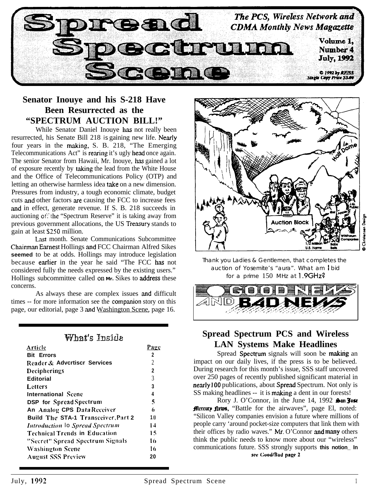

# Senator Inouye and his S-218 Have **Been Resurrected as the** "SPECTRUM AUCTION BILL!"

While Senator Daniel Inouye has not really been resurrected, his Senate Bill 218 is gaining new life. Nearly four years in the making, S. B. 218, "The Emerging Telecommunications Act" is rearing it's ugly head once again. The senior Senator from Hawaii, Mr. Inouye, has gained a lot of exposure recently by taking the lead from the White House and the Office of Telecommunications Policy (OTP) and letting an otherwise harmless idea take on a new dimension. Pressures from industry, a tough economic climate, budget cuts and other factors are causing the FCC to increase fees and in effect, generate revenue. If S. B. 218 succeeds in auctioning of the "Spectrum Reserve" it is taking away from previous government allocations, the US Treasury stands to gain at least \$250 million.

Last month. Senate Communications Subcommittee Chairman Earnest Hollings and FCC Chairman Alfred Sikes seemed to be at odds. Hollings may introduce legislation because earlier in the year he said "The FCC has not considered fully the needs expressed by the existing users." Hollings subcommittee called on Mr. Sikes to address these concerns.

As always these are complex issues and difficult times -- for more information see the companion story on this page, our editorial, page 3 and Washington Scene, page 16.

| Article                                | Page         |
|----------------------------------------|--------------|
| <b>Bit Errors</b>                      | $\mathbf 2$  |
| Reader & Advertiscr Services           | 2            |
| Decipherings                           | $\mathbf{2}$ |
| <b>Editorial</b>                       | 3            |
| Letters                                | 3            |
| <b>International Scene</b>             | 4            |
| DSP for Spread Spectrum                | 5            |
| An Analog CPS Data Receiver            | 6            |
| Build The STA-1 Transceiver, Part 2    | 10           |
| <b>Introduction lo Spread Spectrum</b> | 14           |
| <b>Technical Trends in Education</b>   | 15           |
| "Secret" Spread Spectrum Signals       | 16           |
| <b>Washington Scene</b>                | 16           |
| <b>August SSS Preview</b>              | 20           |
|                                        |              |

## What's Inside



Thank you Ladies & Gentlemen, that completes the auction of Yosemite's "aura". What am I bid for a prime 150 MHz at 1.9GHz?



# **Spread Spectrum PCS and Wireless LAN Systems Make Headlines**

Spread Spectrum signals will soon be making an impact on our daily lives, if the press is to be believed. During research for this month's issue, SSS staff uncovered over 250 pages of recently published significant material in nearly 100 publications, about Spread Spectrum. Not only is SS making headlines -- it is making a dent in our forests!

Rory J. O'Connor, in the June 14, 1992 Soan Jose flirture flews, "Battle for the airwaves", page El, noted: "Silicon Valley companies envision a future where millions of people carry 'around pocket-size computers that link them with their offices by radio waves." Mr. O'Connor and many others think the public needs to know more about our "wireless" communications future. SSS strongly supports this notion In see Good/Bad page 2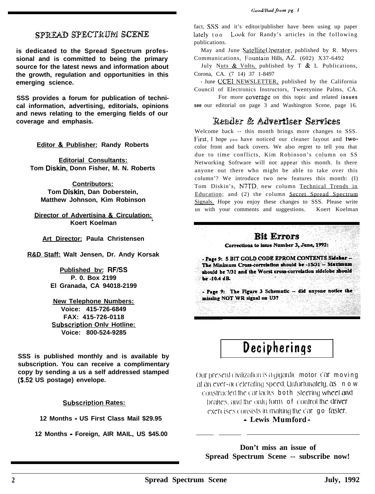## SPREAD SPECTRUM SCENE

**is dedicated to the Spread Spectrum professional and is committed to being the primary source for the latest news and information about the growth, regulation and opportunities in this emerging science.**

**SSS provides a forum for publication of technical information, advertising, editorials, opinions and news relating to the emerging fields of our coverage and emphasis.**

**Editor & Publisher: Randy Roberts**

**Editorial Consultants: Tom Diskin, Donn Fisher, M. N. Roberts**

**Contributors: Tom Diskin, Dan Doberstein, Matthew Johnson, Kim Robinson**

**Director of Advertisina & Circulation: Koert Koelman** ,

**Art Director: Paula Christensen**

**R&D Staff: Walt Jensen, Dr. Andy Korsak**

**Published bv: RF/SS P. 0. Box 2199 El Granada, CA 94018-2199**

**New Telephone Numbers: Voice: 415-726-6849 FAX: 415-726-0118 Subscription Only Hotline: Voice: 800-524-9285**

**SSS is published monthly and is available by subscription. You can receive a complimentary copy by sending a us a self addressed stamped (\$.52 US postage) envelope.**

**Subscription Rates:** 

**12 Months - US First Class Mail \$29.95**

**12 Months - Foreign, AIR MAIL, US \$45.00**

fact, SSS and it's editor/publisher have been using up paper lately too Look for Randy's articles in the following publications.

May and June Satellite Operator, published by R. Myers Communications, Fountain Hills, AZ. (602) X37-6492

July Nuts & Volts, published by  $T \& L$  Publications, Corona, CA. (7 14) 37 1-8497

. June CCEI NEWSLETTER, published by the California Council of Electronics Instructors, Twentynine Palms, CA.

For more coverage on this topic and related **issues see** our editorial on page 3 and Washington Scene, page 16.

# Reader & Advertiser Services

Welcome back -- this month brings more changes to SSS. I'irst, I hope you have noticed our cleaner layout and twocolor front and back covers. We also regret to tell you that due to time conflicts, Kim Robinson's column on SS Networking Software will not appear this month. Is there anyone out there who might be able to take over this column'? We introduce two new features this month: (I) Tom Diskin's, N7TD, new column Technical Trends in Education; and (2) the column Secret Spread Spectrum Signals. Hope you enjoy these changes to SSS. Please write us with your comments and suggestions. Koert Koelman

# **Bit Errors**

#### Corrections to Issue Number 3, June, 1992:

- Page 9: 5 BIT GOLD CODE EPROM CONTENTS Sidebar -The Minimum Cross-correlation should be -1501 - Maximum should be 7/31 and the Worst cross-correlation sidelobe should be -10.4 dB.

 $-$  Page 9: The Figure 3 Schematic  $-$  did anyone notice the missing NOT WR signal on U3?

# **Decipherings**

Our present civilization is a gigantic motor car moving at an ever-accelerating speed. Unfortunately, as now constructed the car lacks both steering wheel and  $brakes$ , and the only form  $\sigma f$  control the driver exercises consists in making the car-go-faster. - **Lewis Mumford -**

**Don't miss an issue of Spread Spectrum Scene -- subscribe now!**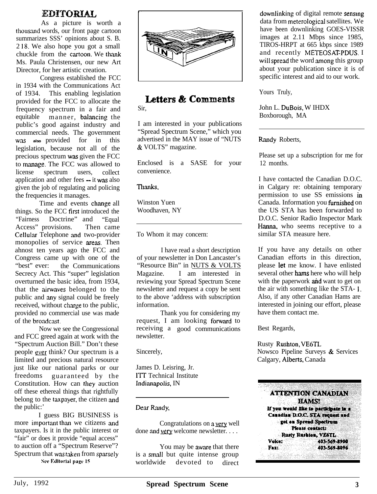# EDITORIAL

As a picture is worth a thous.and words, our front page cartoon summarizes SSS' opinions about S. B. 2 18. We also hope you got a small chuckle from the cartoon. We thank Ms. Paula Christensen, our new Art Director, for her artistic creation.

Congress established the FCC in 1934 with the Communications Act of 1934. This enabling legislation provided for the FCC to allocate the frequency spectrum in a fair and equitable manner, balancing the public's good against industry and commercial needs. The government was also provided for in this legislation, because not all of the precious spectrum was given the FCC to manage. The FCC was allowed to license spectrum users, collect application and other fees  $-$  it was also given the job of regulating and policing the frequencies it manages.

Time and events change all things. So the FCC first introduced the "Fairness Doctrine" and "Equal<br>Access" provisions. Then came Access" provisions. Cellular Telephone and two-provider monopolies of service areas. Then ahnost ten years ago the FCC and Congress came up with one of the "best" ever: the Communications Secrecy Act. This "super" legislation overturned the basic idea, from 1934, that the airwaves belonged to the public and any signal could be freely received, without charge to the public, provided no commercial use was made of the broadcast.

Now we see the Congressional and FCC greed again at work with the "Spectrum Auction Bill." Don't these people ever think? Our spectrum is a limited and precious natural resource just like our national parks or our freedoms guaranteed by the Constitution. How can they auction off these ethereal things that rightfully belong to the taxpayer, the citizen and the public:'

I guess BIG BUSINESS is more important than we citizens and taxpayers. Is it in the public interest or "fair" or does it provide "equal access" to auction off a "Spectrum Reserve"? Spectrum that was taken from sparsely Srr **Edlturlsl page I5**



Letters & Comments

Sir,

I am interested in your publications "Spread Spectrum Scene," which you advertised in the MAY issue of "NUTS & VOLTS" magazine.

Enclosed is a SASE for your convenience.

Thanks.

Winston Yuen Woodhaven, NY

To Whom it may concern:

I have read a short description of your newsletter in Don Lancaster's "Resource Bin" in NUTS & VOLTS Magazine. I am interested in reviewing your Spread Spectrum Scene newsletter and request a copy be sent to the above 'address with subscription information.

Thank you for considering my request, I am looking forward to receiving a good communications newsletter.

Sincerely,

James D. Leisring, Jr. **ITT** Technical Institute Indianapolis, IN

#### Dear Randy,

Congratulations on a very well done and very welcome newsletter. . . .

You may be aware that there is a small but quite intense group<br>worldwide devoted to direct devoted to direct

downlinking of digital remote sensing data from meterological satellites. We have been downlinking GOES-VISSR images at 2.11 Mbps since 1985, TIROS-HRPT at 665 kbps since 1989 and recently METEOSAT-PDUS. I will spread the word among this group about your publication since it is of specific interest and aid to our work.

Yours Truly,

John L. DuBois, W IHDX Boxborough, MA

Randy Roberts,

Please set up a subscription for me for 12 months.

I have contacted the Canadian D.O.C. in Calgary re: obtaining temporary permission to use SS emissions in Canada. Information you furnished on the US STA has been forwarded to D.O.C. Senior Radio Inspector Mark Hanna, who seems receptive to a similar STA measure here.

If you have any details on other Canadian efforts in this direction, please let me know. I have enlisted several other **hams** here who will help with the paperwork and want to get on the air with something like the STA- 1. Also, if any other Canadian Hams are interested in joining our effort, please have them contact me.

Best Regards,

Rusty Rushton, VE6TL Nowsco Pipeline Surveys & Services Calgary, Alberts, Canada

|        | <b>ATTENTION CANADIAN</b>             |
|--------|---------------------------------------|
|        | HAMSI                                 |
|        | If you would like to participate in a |
|        | Canadian D.O.C. STA request and       |
|        | get on Spread Spectrum                |
|        | Please contact:                       |
|        | Rusty Rushton, VE6TL.                 |
| Voice: | 403-569-8900                          |
| Fax:   | 403-569-8096                          |
|        |                                       |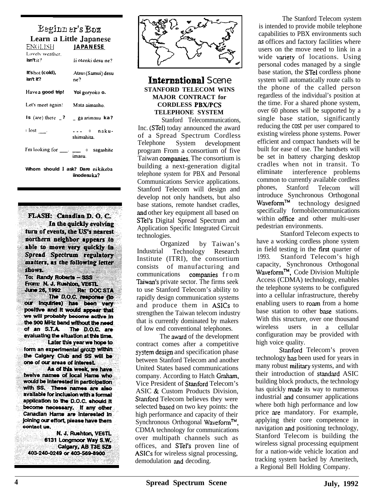#### Beginner's Box Learn a Little Japanese **ENGLISH JAPANESE** Lovely weather, isn't it? li otenki desu ne? It's hot (cold), Atsui (Samui) desu isn't it'? ne? Have a good trip! Yoi goryoko o. Let's meet again! Mata aimasho.

 $-$  ga arimasu ka?

 $- - - 0$  naku-

shimahita.

iinodesu ka?

imasu.

Whom should I ask? Dare nikikeba

Is (are) there  $-$ ?

 $\pm$  lost \_\_\_\_.

FLASH: Canadian D. O. C. In the quickly evolving turn of events, the US's nearest northern neighbor appears to able to move very quickly in Spread Spectrum regulatory matters, as the following letter shows. To: Randy Roberts - SSS From: N. J. Rushton, VE6TL June 26, 1992 **Re: DOC STA** The D.O.C. response (to our inquiries) has been very positive and it would appear that we will probably become active in the 900 MHz band without the need of an S.T.A. The D.O.C. are evaluating the situation at this time. Later this year we hope to form an experimental group within the Calgary Club and SS will be one of our areas of interest.

As of this week, we have twelve names of focal Hams who would be interested in participation with SS. These names are also available for inclusion with a formal application to the D.O.C. should it become necessary. If any other Canadian Hams are interested in joining our effort, please have them contact us.

N. J. Rushton, VE6TL 6131 Longmoor Way S.W. Calgary, AB T3E 5Z8 403-240-0249 or 403-569-8900



#### **International Scene STANFORD TELECOM WINS MAJOR CONTRACT for CORDLESS PBX/PCS TELEPHONE SYSTEM**

Stanford Telecommunications, Inc. (STel) today announced the award of a Spread Spectrum Cordless Telephone System development program From a consortium of five Taiwan companies. The consortium is building a next-generation digital telephone system for PBX and Personal Communications Service applications. Stanford Telecom will design and develop not only handsets, but also base stations, remote handset cradles. and other key equipment all based on STel's Digital Spread Spectrum and Application Specific Integrated Circuit technologies.

Organized by Taiwan's Industrial Technology Research Institute (ITRI), the consortium consists of manufacturing and communications companies from Taiwan's private sector. The firms seek to use Stanford Telecom's ability to rapidly design communication systems and produce them in ASICs to strengthen the Taiwan telecom industry that is currently dominated by makers of low end conventional telephones.

The award of the development contract comes after a competitive system design and specification phase between Stanford Telecom and another United States based communications company. According to Hatch Graham, Vice President of Stanford Telecom's ASIC & Custom Products Division, Stanford Telecom believes they were selected based on two key points: the high performance and capacity of their Synchronous Orthogonal Waveform™, CDMA technology for communications over multipath channels such as offices, and STel's proven line of ASICs for wireless signal processing, demodulation and decoding.

The Stanford Telecom system is intended to provide mobile telephone capabilities to PBX environments such as offices and factory facilities where users on the move need to link in a wide variety of locations. Using personal codes managed by a single base station, the STel cordless phone system will automatically route calls to the phone of the called person regardless of the individual's position at the time. For a shared phone system, over 60 phones will be supported by a single base station, significantly reducing the *cost* per user compared to existing wireless phone systems. Power efficient and compact handsets will be built for ease of use. The handsets will be set in battery charging desktop cradles when not in transit. To eliminate interference problems common to currently available cordless Stanford Telecom phones. will introduce Synchronous Orthogonal Waveform<sup>TM</sup> technology designed specifically formobilecommunications within office and other multi-user pedestrian environments.

Stanford Telecom expects to have a working cordless phone system in field testing in the first quarter of 1993. Stanford Telecom's high capacity, Synchronous Orthogonal Waveform™, Code Division Multiple Access (CDMA) technology, enables the telephone systems to be configured into a cellular infrastructure, thereby enabling users to roam from a home base station to other base stations. With this structure, over one thousand wireless users  $in$ cellular a configuration may be provided with high voice quality.

Stanford Telecom's proven technology has been used for years in many robust military systems, and with their introduction of standard ASIC building block products, the technology has quickly made its way to numerous industrial and consumer applications where both high performance and low price are mandatory. For example, applying their core competence in navigation and positioning technology, Stanford Telecom is building the wireless signal processing equipment for a nation-wide vehicle location and tracking system backed by Ameritech. a Regional Bell Holding Company.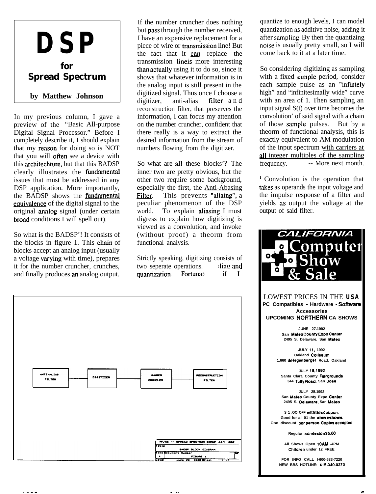# **DSP for Spread Spectrum by Matthew Johnson**

In my previous column, I gave a preview of the "Basic All-purpose Digital Signal Processor." Before I completely describe it, I should explain that my reason for doing so is NOT that you will often see a device with this architechture, but that this BADSP clearly illustrates the fundamental issues that must be addressed in any DSP application. More importantly, the BADSP shows the fundamental **equivalence** of the digital signal to the original analog signal (under certain broad conditions I will spell out).

So what is the BADSP'! It consists of the blocks in figure 1. This chain of blocks accept an analog input (usually a voltage varying with time), prepares it for the number cruncher, crunches, and finally produces an analog output.

If the number cruncher does nothing but pass through the number received, I have an expensive replacement for a piece of wire or transmission line! But the fact that it can replace the transmission lineis more interesting than actually using it to do so, since it shows that whatever information is in the analog input is still present in the digitized signal. Thus once I choose a digitizer, anti-alias filter and reconstruction filter, that preserves the information, I can focus my attention on the number cruncher, confident that there really is a way to extract the desired information from the stream of numbers flowing from the digitizer.

So what are al1 these blocks'? The inner two are pretty obvious, but the other two require some background, especially the first, the Anti-Abasing Filter. This prevents "aliaing", a peculiar phenomenon of the DSP world. To explain aliasing I must digress to explain how digitizing is viewed as a convolution, and invoke (without proof) a theorm from functional analysis.

Strictly speaking, digitizing consists of two seperate operations. line and<br>
nuantization. Fortunate if I quantization. Fortuna! if I



quantize to enough levels, I can model quantization as additive noise, adding it after sampling. By then the quantizing uoise is usually pretty small, so I will come back to it at a later time.

So considering digitizing as sampling with a fixed sample period, consider each sample pulse as an "infmtely high" and "infinitesimally wide" curve with an area of 1. Then sampling an input signal S(t) over time becomes the convolution' of said signal with a chain of those sample pulses. But by a theorm of functional analysis, this is exactly equivalent to AM modulation of the input spectrum with carriers at **all integer multiples of the sampling<br>frequency.** -- More next month. -- More next month.

' Convolution is the operation that takes as operands the input voltage and the impulse response of a filter and yields 'as output the voltage at the output of said filter.

IFORNIA puter LOWEST PRICES IN THE **USA PC Compatibles - Hardware - Software Accessories UPCOMING NORTHERN CA SHOWS JUNE 27.1992 San Mateo County Expo Center** 2495 S. Delaware, San Mateo **JULY 11. 1992 Oakland Collseum 1.660 h tiegenberger Road. Oakland JULY 18.1992 Santa Clara County FaIrgrounda 344 Tully Road, San Jose JULY 25.1992 San Mateo County Expo Center 2495 S. Delsusre. San Mate0**  $S$  1 .00 OFF with this coupon. **Good for all 01 the above shows.**  $One discount$  perperson. Copies accepted **Regular admlsslon S6.00 All Shows Open 10AM -4PM** Children under 12 FREE

**FOR INFO CALL l-600-633-7220 NEW BBS HOTLINE: 415-340-9370**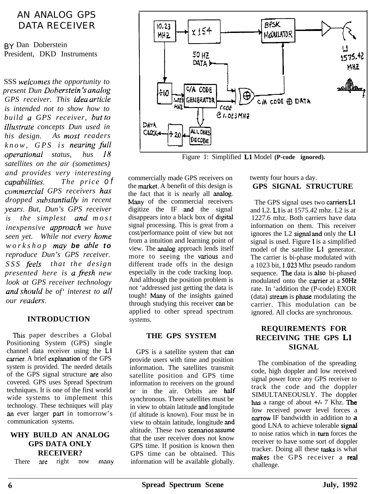# AN ANALOG GPS DATA RECEIVER

B Y Dan Doberstein President, DKD Instruments

SSS welcomes *the opportunity to present Dun* Doherstein 's *mulog GPS receiver. This ideu urticle is intended not to show how to build u GPS receiver, hut to illustrute concepts Dun used in his design. As most readers*  $know, GPS is *nearing full*$ *operational status, hus* 18 *satellites on the air (sometimes) and provides very interesting cupabilities. The price o f comnerciul GPS receivers bus dropped .suhstuntiully in recent yeur.s. But, Dun's GPS receiver is the simplest and most inexpensive upprouch we huve seen yet. While not every home workshop may* be able to *reproduce Dun's GPS receiver.* SSS feels that the design *presented here is a fresh new look at GPS receiver technology und .should be of' interest to ull our reuder.s.*

#### **INTRODUCTION**

**This** paper describes a Global Positioning System (GPS) single channel data receiver using the LI carrier. A brief explanation of the GPS system is provided. The needed details of the GPS signal structure are also covered. GPS uses Spread Spectrum techniques. It is one of the first world wide systems to implement this technology. These techniques will play an ever larger part in tomorrow's communication systems.

### **WHY BUILD AN ANALOG GPS DATA ONLY RECEIVER?**

There are right now many



Figure 1: Simplified Ll Model **(P-code ignored).**

commercially made GPS receivers on the market. A benefit of this design is the fact that it is nearly all **analog**. Many of the commercial receivers digitize the IF and the signal disappears into a black box of digital signal processing. This is great from a cost/performance point of view but not from a intuition and learning point of view. The anaIog approach lends itself more to seeing the various and different trade offs in the design especially in the code tracking loop. And although the position problem is not 'addressed just getting the data is tough! Many of the insights gained through studying this receiver can be applied to other spread spectrum systems.

#### **THE GPS SYSTEM**

GPS is a satellite system that can provide users with time and position information. The satellites transmit satellite position and GPS time information to receivers on the ground or in the air. Orbits are haIf synchronous. Three satellites must be in view to obtain latitude and longitude (if altitude is known). Four must be in view to obtain latitude, longitude and altitude. These two scenarios assume that the user receiver does not know GPS time. If position is known then GPS time can be obtained. This information will be available globally.

#### twenty four hours a day. **GPS SIGNAL STRUCTURE**

The GPS signal uses two carriers L1 and L2. Ll is at 1575.42 mhz. L2 is at 1227.6 mhz. Both carriers have data information on them. This receiver ignores the  $L2$  signal and only the  $L1$ signal is used. Figure 1 is a simplified model of the satellite LI generator. The carrier is bi-phase modulated with a 1023 bit, 1.023 Mhz pseudo random sequence. The data is also bi-phased modulated onto the carrier at a 50Hz rate. In 'addition the (P-code) EXOR  $(data)$  stream is phase modulating the carrier. This modulation can be ignored. All clocks are synchronous.

#### **REQUIREMENTS FOR RECEIVING THE GPS Ll SIGNAL**

The combination of the spreading code, high doppler and low received signal power force any GPS receiver to track the code and the doppler SIMULTANEOUSLY. The doppler has a range of about  $+/- 7$  Khz. The low received power level forces a marrow IF bandwidth in addition to **a** good LNA to achieve tolerable signaI to noise ratios which in turn forces the receiver to have some sort of doppler tracker. Doing all these tasks is what makes the GPS receiver a real challenge.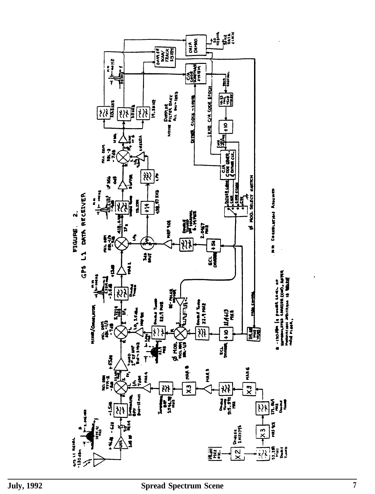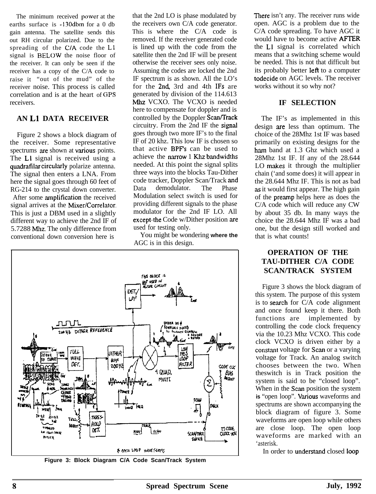The minimum received power at the earths surface is -130dbm for a 0 db gain antenna. The satellite sends this out RH circular polarized. Due to the spreading of the C/A code the LI signal is BELOW the noise floor of the receiver. It can only be seen if the receiver has a copy of the C/A code to raise it "out of the mud" of the receiver noise. This process is called correlation and is at the heart of GPS receivers.

### **AN Ll DATA RECEIVER**

Figure 2 shows a block diagram of the receiver. Some representative spectrums are shown at various points. The L<sub>1</sub> signal is received using a quadrafilar circularly polarize antenna. The signal then enters a LNA. From here the signal goes through 60 feet of RG-214 to the crystal down converter. After some amplification the received signal arrives at the Mixer/Correlator. This is just a DBM used in a slightly different way to achieve the 2nd IF of 5.7288 Mhz. The only difference from conventional down conversion here is

that the 2nd LO is phase modulated by the receivers own C/A code generator. This is where the C/A code is removed. If the receiver generated code is lined up with the code from the satellite then the 2nd IF will be present otherwise the receiver sees only noise. Assuming the codes are locked the 2nd IF spectrum is as shown. All the LO's for the 2nd 3rd and 4th IFs are generated by division of the 114.613 Mhz VCXO. The VCXO is needed here to compensate for doppler and is controlled by the Doppler Scan/Track  $circuitry.$  From the 2nd IF the signal goes through two more IF's to the final IF of 20 khz. This low IF is chosen so that active BPF's can be used to achieve the narrow 1 Khz bandwidths needed. At this point the signal splits three ways into the blocks Tau-Dither code tracker, Doppler Scan/Track and Data demodulator. The Phase Modulation select switch is used for providing different signals to the phase modulator for the 2nd IF LO. All except the Code w/Dither position are used for testing only.

You might be wondering **where the** AGC is in this design.



**Figure 3: Block Diagram C/A Code Scan/Track System**

There isn't any. The receiver runs wide open. AGC is a problem due to the C/A code spreading. To have AGC it would have to become active AFTER the Ll signal is correlated which means that a switching scheme would be needed. This is not that difficult but its probably better  $\text{left}$  to a computer todecide on AGC levels. The receiver works without it so why not?

#### **IF SELECTION**

The IF's as implemented in this design are less than optimum. The choice of the 28Mhz 1st IF was based primarily on existing designs for the ham band at 1.3 Ghz which used a 28Mhz 1st IF. If any of the 28.644 LO makes it through the multiplier chain ('and some does) it will appear in the 28.644 Mhz IF. This is not as bad as it would first appear. The high gain of the **preamp** helps here as does the C/A code which will reduce any CW by about 35 db. In many ways the choice the 28.644 Mhz IF was a bad one, but the design still worked and that is what counts!

## **OPERATION OF THE TAU-DITHER C/A CODE SCAN/TRACK SYSTEM**

Figure 3 shows the block diagram of this system. The purpose of this system is to search for  $C/A$  code alignment and once found keep it there. Both functions are implemented by controlling the code clock frequency via the 10.23 Mhz VCXO. This code clock VCXO is driven either by a constant voltage for Scan or a varying voltage for Track. An analog switch chooses between the two. When theswitch is in Track position the system is said to be "closed loop". When in the Scan position the system is "open loop". Various waveforms and spectrums are shown accompanying the block diagram of figure 3. Some waveforms are open loop while others are close loop. The open loop waveforms are marked with an 'asterisk.

In order to understand closed loop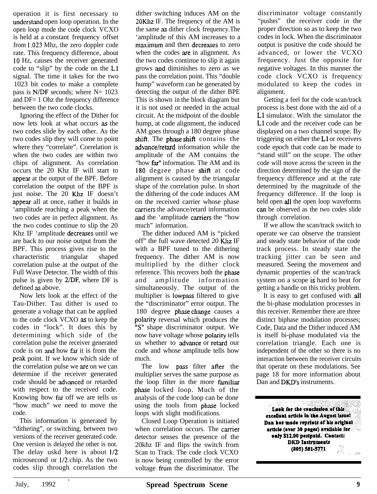operation it is first necessary to understand open loop operation. In the open loop mode the code clock VCXO is held at a constant frequency offset from 1.023 Mhz, the zero doppler code rate. This frequency difference, about 10 Hz, causes the receiver generated code to "slip" by the code on the LI signal. The time it takes for the two 1023 bit codes to make a complete pass is N/DF seconds; where  $N = 1023$ and DF= 1 Ohz the frequency difference between the two code clocks.

Ignoring the effect of the Dither for now lets look at what occurs as the two codes slide by each other. As the two codes slip they will come to point where they "correlate". Correlation is when the two codes are within two chips of alignment. As correlation occurs the 20 Khz IF will start to appear at the output of the BPF. Before correlation the output of the BPF is just noise. The 20 Khz IF doesn't appear all at once, rather it builds in 'amplitude reaching a peak when the two codes are in perfect alignment. As the two codes continue to slip the 20 Khz IF 'amplitude decreases until we are back to our noise output from the BPF. This process gives rise to the characteristic triangular shaped correlation pulse at the output of the Full Wave Detector. The width of this pulse is given by 2/DF, where DF is defined as above.

Now lets look at the effect of the Tau-Dither. Tau dither is used to generate a voltage that can be applied to the code clock VCXO as to keep the codes in "lock". It does this by determining which side of the correlation pulse the receiver generated code is on and how far it is from the penk point. If we know which side of the correlation pulse we are on we can determine if the receiver generated code should be advanced or retarded with respect to the received code. Knowing how far off we are tells us "how much" we need to move the code.

This information is generated by "dithering", or switching, between two versions of the receiver generated code. One version is delayed the other is not. The delay uskd here is about l/2 microsecond or i/2 chip. As the two codes slip through correlation the

dither switching induces AM on the 2OKhz IF. The frequency of the AM is the same as dither clock frequency. The 'amplitude of this AM increases to a maximum and then decreases to zero when the codes are in alignment. As the two codes continue to slip it again grows 'and diminishes to zero as we pass the correlation point. This "double hump" waveform can be generated by detecting the output of the dither BPE This is shown in the block diagram but it is not used or needed in the actual circuit. At the midpoint of the double hump, at code alignment, the induced AM goes through a 180 degree phase shift. The phase shift contains the advance/retard information while the amplitude of the AM contains the "how far" information. The AM and its 180 degree phase shift at code alignment is caused by the triangular shape of the correlation pulse. In short the dithering of the code induces AM on the received carrier whose phase carriers the advance/retard information and the 'amplitude carriers the "how much" information.

The dither induced AM is "picked off" the full wave detected 20 Khz IF with a BPF tuned to the dithering frequency. The dither AM is now multiplied by the dither clock reference. This recovers both the phase and amplitude information simultaneously. The output of the multiplier is lowpass filtered to give the "discriminator" error output. The 180 degree phase change causes a polarity reversal which produces the "S" shape discriminator output. We now have voltage whose polarity tells us whether to advance or retard our code and whose amplitude tells how much.

The low pass filter after the multiplier serves the same purpose as the loop filter in the more familiar phase locked loop. Much of the analysis of the code loop can be done using the tools from phase locked loops with slight modifications.

Closed Loop Operation is initiated when correlation occurs. The carrier detector senses the presence of the 20khz IF and flips the switch from Scan to Track. The code clock VCXO is now being controlled by the error voltage from the discriminator. The

discriminator voltage constantly "pushes" the receiver code in the proper direction so as to keep the two codes in lock. When the discriminator output is positive the code should be advanced, or lower the VCXO frequency. Just the opposite for negative voltages. In this manner the code clock VCXO is frequency modulated to keep the codes in alignment.

Getting a feel for the code scan/track process is best done with the aid of a Ll simulator. With the simulator the LI code and the receiver code can be displayed on a two channel scope. By triggering on either the Ll or receivers code epoch that code can be made to "stand still" on the scope. The other code will move across the screen in the direction determined by the sign of the frequency difference and at the rate determined by the magnitude of the frequency difference. If the loop is held open all the open loop waveforms can be observed as the two codes slide through correlation.

If we allow the scan/track switch to operate we can observe the transient and steady state behavior of the code track process. In steady state the tracking jitter can be seen and measured. Seeing the movement and dynamic properties of the scan/track system on a scope is hard to beat for getting a handle on this tricky problem.

It is easy to get confused with all the bi-phase modulation processes in this receiver. Remember there are three distinct biphase modulation processes; Code, Data and the Dither induced AM is itself bi-phase modulated via the correlation triangle. Each one is independent of the other so there is no interaction between the receiver circuits that operate on these modulations. See page 18 for more information about Dan and DKD's instruments.

Leok for the conclusion of this excellant article in the August issue! Dan has made reprints of his original article (over 30 pages) available for early \$12.00 postpaid. Contact: DKD Instruments  $(805)$   $$81-5771$ :::. . . . .:.,.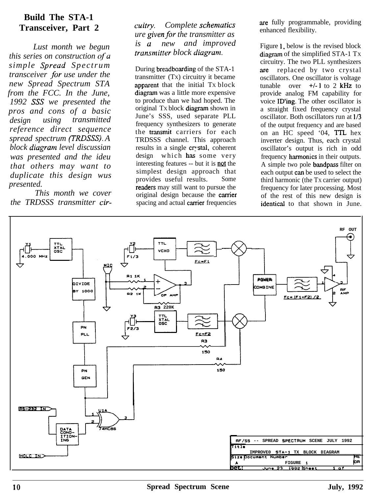# **Build The STA-1 Transceiver, Part 2**

*Lust month we begun this series on construction of a simple Spreud Spectrum transceiver .for use under the new Spread Spectrum STA from the FCC. In the June, 1992 SSS we presented the pros and cons of a basic design using transmitted reference direct sequence spread spectrum (TRDSSS). A block diugram level discussian was presented and the ideu that others may want to duplicate this design wus presented.*

*This month we cover the TRDSSS transmitter cir-* *cuitry. Complete schemutics ure given for the transmitter as is u new and improved trunsmitter block diagrum.*

During breadboarding of the STA-1 transmitter (TX) circuitry it became apparent that the initial Tx block diagram was a little more expensive to produce than we had hoped. The original Tx block diagram shown in June's SSS, used separate PLL frequency synthesizers to generate the tmnsmit carriers for each TRDSSS channel. This approach results in a single crystal, coherent design which has some very interesting features -- but it is **not** the simplest design approach that provides useful results. Some readers may still want to pursue the original design because the carrier spacing and actual carrier frequencies

are fully programmable, providing enhanced flexibility.

Figure 1. below is the revised block diagram of the simplified STA-1 Tx circuitry. The two PLL synthesizers are replaced by two crystal oscillators. One oscillator is voltage tunable over  $+/-1$  to 2 kHz to provide analog FM capability for voice ID'ing. The other oscillator is a straight fixed frequency crystal oscillator. Both oscillators run at l/3 of the output frequency and are based on an HC speed '04, TTL hex inverter design. Thus, each crystal oscillator's output is rich in odd frequency harmonics in their outputs. A simple two pole **bandpass** filter on each output can be used to select the third harmonic (the TX carrier output) frequency for later processing. Most of the rest of this new design is identical to that shown in June.

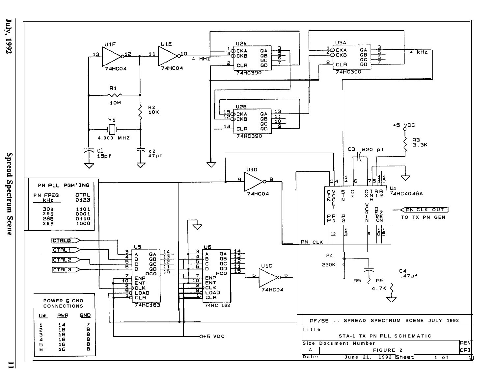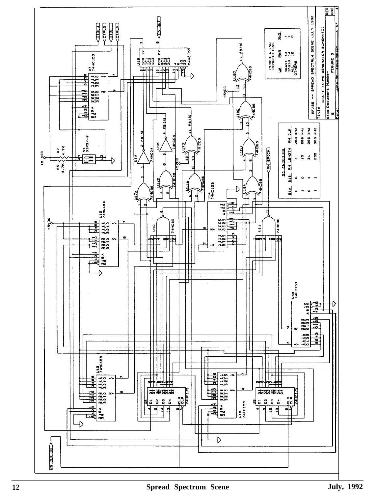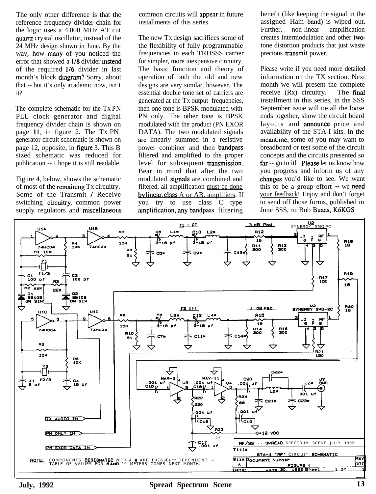The only other difference is that the reference frequency divider chain for the logic uses a 4.000 MHz AT cut quartz crystal oscillator, instead of the 24 MHz design shown in June. By the way, how many of you noticed the error that showed a 1/8 divider instead of the required l/6 divider in last month's block diagram? Sorry, about that -- but it's only academic now, isn't it?

The complete schematic for the TX PN PLL clock generator and digital frequency divider chain is shown on page 11, in figure 2. The Tx PN generator circuit schematic is shown on page 12, opposite, in figure 3. This B sized schematic was reduced for publication -- I hope it is still readable.

Figure 4, below, shows the schematic of most of the **remaining** Tx circuitry. Some of the Transmit / Receive switching circuitrv. common power supply regulators and miscellaneous common circuits will appear in future installments of this series.

The new TX design sacrifices some of the flexibility of fully programmable frequencies in each TRDSSS carrier for simpler, more inexpensive circuitry. The basic function and theory of operation of both the old and new designs are very similar, however. The essential double tone set of carriers are generated at the TX output frequencies, then one tone is BPSK modulated with PN only. The other tone is BPSK modulated with the product (PN EXOR DATA). The two modulated signals are linearly summed in a resistive power combiner and then **bandpass** filtered and amplified to the proper level for subsequent transmission. Bear in mind that after the two modulated signals are combined and filtered, all amplification must be done by linear, class A or AB. amplifiers. If you try to use class C type amplification, any bandpass filtering

benefit (like keeping the signal in the assigned Ham band) is wiped out. Further, non-linear amplification creates Intermodulation and other twotone distortion products that just waste precious transmit power.

Please write if you need more detailed information on the TX section. Next month we will present the complete receive (Rx) circuitry. The final installment in this series, in the SSS September issue will tie all the loose ends together, show the circuit board layouts and announce price and availability of the STA-I kits. In the meantime, some of you may want to breadboard or test some of the circuit concepts and the circuits presented so far -- go to it! Please let us know how you progress and inform us of any changes you'd like to see. We want this to be a group effort  $-$  we need your feedback! Enjoy and don't forget to send off those forms, published in June SSS, to Bob Buaas, K6KGS.

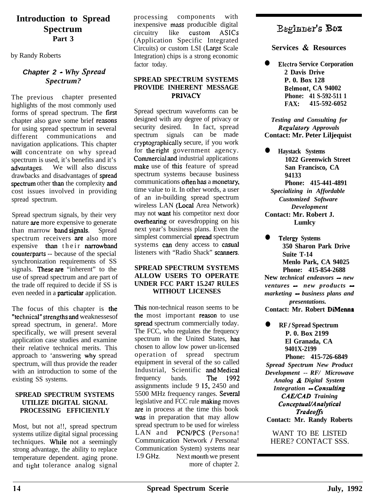## **Introduction to Spread Spectrum Part 3**

by Randy Roberts

### *Chapter 2 - Why Spreud Spectrum?*

The previous chapter presented highlights of the most commonly used forms of spread spectrum. The first chapter also gave some brief reasons for using spread spectrum in several different communications and navigation applications. This chapter will concentrate on why spread spectrum is used, it's benefits and it's advantages. We will also discuss drawbacks and disadvantages of spread spectrum other than the complexity and cost issues involved in providing spread spectrum.

Spread spectrum signals, by their very nature are more expensive to generate than marrow band signals. Spread spectrum receivers are also more expensive than their narrowband counterparts -- because of the special synchronization requirements of SS signals. These are "inherent" to the use of spread spectrum and are part of the trade off required to decide if SS is even needed in a **particular** application.

The focus of this chapter is the "technical" strengths and weaknesses of spread spectrum, in genera!. More specifically, we will present several application case studies and examine their relative technical merits. This approach to 'answering why spread spectrum, will thus provide the reader with an introduction to some of the existing SS systems.

#### **SPREAD SPECTRUM SYSTEMS UTILIZE DIGITAL SIGNAL PROCESSING EFFICIENTLY**

Most, but not a!!, spread spectrum systems utilize digital signal processing techniques. While not a seemingly strong advantage, the ability to replace temperature dependent. aging prone. and tight tolerance analog signal processing components with inexpensive mass producible digital circuitry like custom ASICs (Application Specific Integrated Circuits) or custom LSI (Large Scale Integration) chips is a strong economic factor today.

#### **SPREAD SPECTRUM SYSTEMS PROVIDE INHERENT MESSAGE PRlVACY**

Spread spectrum waveforms can be designed with any degree of privacy or<br>security desired. In fact, spread security desired. spectrum signals can be made cryptograpllically secure, if you work for the right government agency. Commercial and industrial applications make use of this feature of spread spectrum systems because business communications often has a monetary, time value to it. In other words, a user of an in-building spread spectrum wireless LAN (Local Area Network) may not want his competitor next door overhearing or eavesdropping on his next year's business plans. Even the simplest commercial spread spectrum systems can deny access to casual listeners with "Radio Shack" scanners.

#### **SPREAD SPECTRUM SYSTEMS ALLOW USERS TO OPERATE UNDER FCC PART 15.247 RULES WITHOUT LICENSES**

This non-technical reason seems to be the most important reason to use spread spectrum commercially today. The FCC, who regulates the frequency spectrum in the United States, has chosen to allow low power un-licensed operation of spread spectrum equipment in several of the so called Industrial, Scientific and Medical frequency bands. The 1992 assignments include 9 15, 2450 and 5500 MHz frequency ranges. SeveraI legislative and FCC rule making moves 'are in process at the time this book was in preparation that may allow spread spectrum to be used for wireless<br>LAN and **PCN/PCS** (Personal) PCN/PCS (Persona! Communication Network / Persona! Communication System) systems near I.9 GHz. Next month we present more of chapter 2.

# Beginner's Box

**Services & Resources**

l **Elcctro Service Corporation 2 Davis Drive P. 0. Box 128 Belmont, CA 94002 Phone: 41 S-592-511 1 FAX: 415-592-6052**

*Testing and Consulting for Regula'roty Approvals* **Contact: Mr. Peter Liljequist**

l **Haystack Systems 1022 Greenwich Street San Francisco, CA 94133 Phone: 415-441-4891** *Specializing in Affordable Customized Software Development* **Contact: Mr. Robert J. Lumlcy**

l **Telergy Systems 350 Sharon Park Drive Suite T-14 Menlo Park, CA 94025 Phone: 415-854-2688 New** *technical endeavors - new ventures - new products marketing - business plans and presentations.* **Contact: Mr. Robert DiMenna**

l **RF / Spread Spectrum P. 0. Box 2199 El Granada, CA 9401X-2199 Phone: 415-726-6849** *Spread Spectrum New Product Development -- RF/ Microwave Analog % Digital System Integration -- Consulting* **CAE/CAD** Training *ConceptuaUAnalytical Tradeojj..* **Contact: Mr. Randy Roberts**

WANT TO BE LISTED HERE? CONTACT SSS.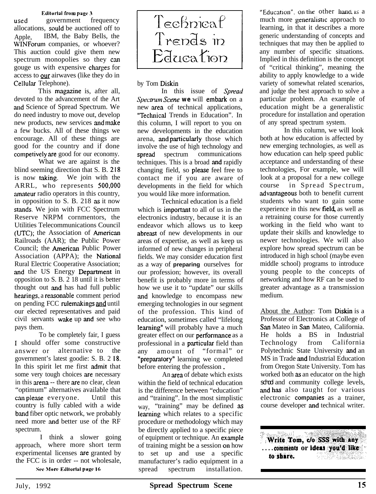#### Editorial from page 3

used government frequency allocations, sould be auctioned off to Apple, IBM, the Baby Bells, the WINForum companies, or whoever? This auction could give them new spectrum monopolies so they can gouge us with expensive charges for access to **our** airwaves (like they do in Celluhar Telephone).

This magazine is, after all, devoted to the advancement of the Art 'and Science of Spread Spectrum. We do need industry to move out, develop new products, new services and make a few bucks. All of these things we encourage. All of these things are good for the country and if done competively are good for our economy.

What we are against is the blind seeming direction that S. B. 218 is now taking. We join with the ARRL, who represents 500,000 amateur radio operators in this country, in opposition to S. B. 218 as it now stands. We join with FCC Spectrum Reserve NRPM cornmentors, the Utilities Telecommunications Council  $(UTC)$ ; the Association of American Railroads (AAR); the Public Power Council; the American Public Power Association (APPA); the NationaI Rural Electric Cooperative Association; and the US Energy Department in opposition to S. B. 2 18 until it is better thought out and has had full public hearings, a reasonable comment period on pending FCC rulemakings and until our elected representatives and paid civil servants wake up and see who pays them.

To be completely fair, I guess I should offer some constructive answer or alternative to the government's latest goodie: S. B. 2 18. In this spirit let me first admit that some very tough choices are necessary in this arena -- there are no clear, clean "optimum" alternatives available that can please everyone. Until this country is fully cabled with a wide band fiber optic network, we probably need more and better use of the RF spectrum.

I think a slower going approach, where more short term experimental licenses are granted by the FCC is in order -- not wholesale,

See More Editorial page 16



#### by Tom Diskin

In this issue of *Spread Spectrum Scene we will embark on a* new area of technical applications, "TechnicaI Trends in Education". In this column, I will report to you on new developments in the education arena, and particularly those which involve the use of high technology and spread spectrum communications techniques. This is a broad and rapidly changing field, so please feel free to contact me if you are aware of developments in the field for which you would like more information.

Technical education is a field which is important to all of us in the electronics industry, because it is an endeavor which allows us to keep abreast of new developments in our areas of expertise, as well as keep us informed of new changes in peripheral fields. We may consider education first as a way of **preparing** ourselves for our profession; however, its overall benefit is probably more in terms of how we use it to "update" our skills and knowledge to encompass new emerging technologies in our segment of the profession. This kind of education, sometimes called "lifelong learning" will probably have a much greater effect on our perfonmance as a professional in a **particular** field than any amount of "formal" or "preparatory" learning we completed before entering the profession .

An area of debate which exists within the field of technical education is the difference between "education" and "training". In the most simplistic way, "training" may be defined as learning which relates to a specific procedure or methodology which may be directly applied to a specific piece of equipment or technique. An example of training might be a session **on** how to set up and use a specific manufacturer's radio equipment in a spread spectrum installation.

"Education", on the other hand is a much more generalistic approach to learning, in that it describes a more generic understanding of concepts and techniques that may then be applied to any number of specific situations. Implied in this definition is the concept of "critical thinking", meaning the ability to apply knowledge to a wide variety of somewhat related scenarios, and judge the best approach to solve a particular problem. An example of education might be a generalistic procedure for installation and operation of any spread spectrum system.

In this column, we will look both at how education is affected by new emerging technologies, as well as how education can help speed public acceptance and understanding of these technologies, For example, we will look at a proposal for a new college course in Spread Spectrum, advantageous both to benefit current students who want to gain some experience in this new field, as well as a retraining course for those currently working in the field who want to update their skills and knowledge to newer technologies. We will also explore how spread spectrum can be introduced in high school (maybe even middle school) programs to introduce young people to the concepts of networking and how RF can be used to greater advantage as a transmission medium.

About the Author: Tom Diskin is a Professor of Electronics at College of San Mateo in San Mateo, California. He holds a BS in Industrial Technology from California Polytechnic State University and an MS in Trade and Industrial Education from Oregon State University. Tom has worked both as an educator on the high school and community college levels, and has also taught for various electronic companies as a trainer, course developer and technical writer.

,.. : Write y, . . . . . ,.. ::.: . . . . . ,.. ,,.,, ..\_::.~.""':'.:.:...::.., :,..,...\_.. .( ;: ,:,,,.' ::, :,.?::.. :. ..:'::.,:>:.:.:.::::.: :;.p:... . . . ,:.:. .\_i... . . :..: :.. .:. . . . . ; .: :,::., . . .... comments or ideas you'd like to share.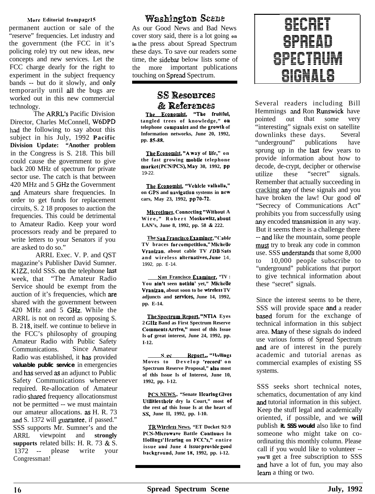#### **&lure Editorial from page IS**

permanent auction or sale of the "reserve" frequencies. Let industry and the government (the FCC in it's policing role) try out new ideas, new concepts and new services. Let the FCC charge dearly for the right to experiment in the subject frequency bands -- but do it slowly, and only temporarily until all the bugs are worked out in this new commercial technology.

The ARRL's Pacific Division Director, Charles McConnell, W6DPD had the following to say about this subject in his July, 1992 **Pacific Division Update: "Another problem** in the Congress is S. 218. This bill could cause the government to give back 200 MHz of spectrum for private sector use. The catch is that between 420 MHz and 5 GHz the Government 'and Amateurs share frequencies. In order to get funds for replacement circuits, S. 2 18 proposes to auction the frequencies. This could be detrimental to Amateur Radio. Keep your word processors ready and be prepared to write letters to your Senators if you are asked to do so."

ARRL Exec. V. P. and QST magazine's Publisher David Sumner. K<sub>1</sub>Z<sub>Z</sub>, told SSS, on the telephone last week, that "The Amateur Radio Service should be exempt from the auction of it's frequencies, which are shared with the government between 420 MHz and 5 GHz. While the ARRL is not on record as opposing S. B. 2 18, itself. we continue to believe in the FCC's philosophy of grouping Amateur Radio with Public Safety Communications. Since Amateur Radio was established, it has provided **valuable public service** in emergencies and has served as an adjunct to Public Safety Communications whenever required. Re-allocation of Amateur radio shared frequency allocationsmust not be permitted -- we must maintain our amateur allocations. as H. R. 73 and S. 1372 will guarantee, if passed." SSS supports Mr. Sumner's and the ARRL viewpoint and **strongly supports** related bills: H. R. 73 & S. 1372 -- please write your Congressman!

# **Washington Scane**

As our Good News and Bad News cover story said, there is a lot going **on in** the press about Spread Spectrum these days. To save our readers some time, the sidebar below lists some of the more important publications touching on Spread Spectrum.

# SS Resources & References

The **Economist**, "The fruitful, **tangled trees of knowledge," ou telephone compnales and the growlh of Information networks, June 20, 1992, pp. 85-88.**

**The Economist, "A way of Ufe,"** on **the fast growing moblle telephone market (PC:N/PC:S), May 30, 1992,** pp 19-22.

The Economist, "Vehicle valhalla," **on GPS and navigation systems in new cars, May 23, 1992, pp 70-72.**

**&#gotlmeq, Conncctlng "Withoul A Wire," Robert Moskowllz, about**

**LAN's, June 8, 1992, pp. 58 & 222.<br>LAN's, June 8, 1992, pp. 58 & 222.<br>The San Francisco Examiner,''C:able<br>TV braces for compatition "Michalist"**  $TV$  braces for competition," Michelle **Vranizan. about cable TV I DB Sals** and wireless alternatives, June 14, 1992, pp. E-14.

**San Francisco Examiner, "TV :** You ain't seen nothin' yet," Michelle **Vrrnizaa, about soon to be wtreless TV adjuncts and servlces, June 14, 1992, pp. E-14.**

**The Spectrum Report, "NTIA Eyes 2 GIlz Band as First Spectrum Reserve** Comments **Arrive,"** most of this Issue Is of great interest, June 24, 1992, pp. **I-12.**

S ec Report., "<sup>Itollings</sup> Moves to **Develop** 'record' on **Spectrum Reserve Proposal," alsu most of thls Issue Is of Interest, June 10, 1992, pp. l-12.**

**PCS NEWS,, "Senate Hearing Gives Utiilties thclr dry la Court," most ol the rest ol this Issue Is at the heart of SS, June II, 1992, pp. l-10.**

**TR Wlrelrss News, "ET Docket 92-9 PCS-Microwave Battle Continues In Iloiii~~~s' Itearing on FC:C:'s," entire issue and June 4 issue provide good backprcmnci, June 1X, 1992, pp. i-12.**



Several readers including Bill Hemmings and Ron Runswick have pointed out that some very "interesting" signals exist on satellite downlinks these days. Several "underground" publications have sprung up in the last few years to provide information about how to decode, de-crypt, decipher or otherwise utilize these "secret" signals. Remember that actually succeeding in cracking any of these signals and you have broken the law! Our good ol' "Secrecy of Communications Act" prohibits you from successfully using any encoded transmission in any way. But it seems there is a challenge there -- and like the mountain, some people must try to break any code in common use. SSS understands that some 8,000 to 10,000 people subscribe to "underground" publications that purport to give technical information about these "secret" signals.

Since the interest seems to be there, SSS will provide space and a reader based forum for the exchange of technical information in this subject area. Many of these signals do indeed use various forms of Spread Spectrum and are of interest in the purely academic and tutorial arenas as commercial examples of existing SS systems.

SSS seeks short technical notes, schematics, documentation of any kind and tutorial information in this subject. Keep the stuff legal and academically oriented, if possible, and we will publish **it. SSS would** also like to find someone who might take on coordinating this monthly column. Please call if you would like to volunteer - **you'll** get a free subscription to SSS and have a lot of fun, you may also learn a thing or two.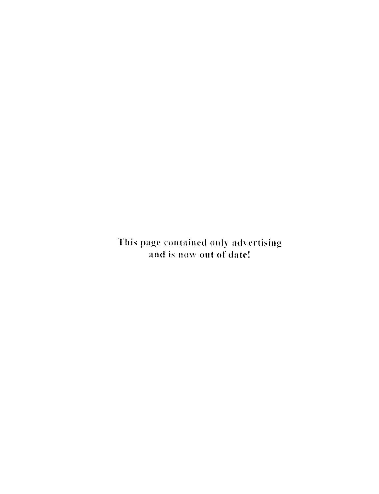This page contained only advertising and is now out of date!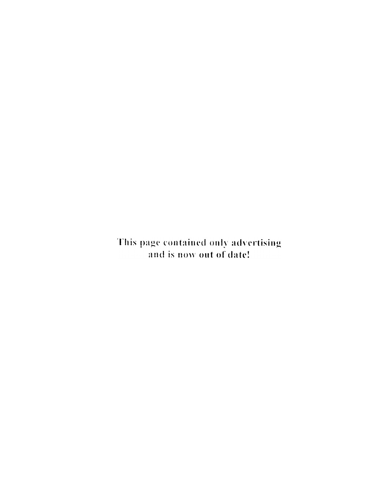This page contained only advertising and is now out of date!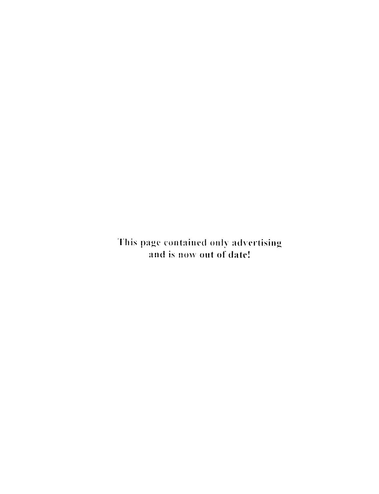This page contained only advertising and is now out of date!